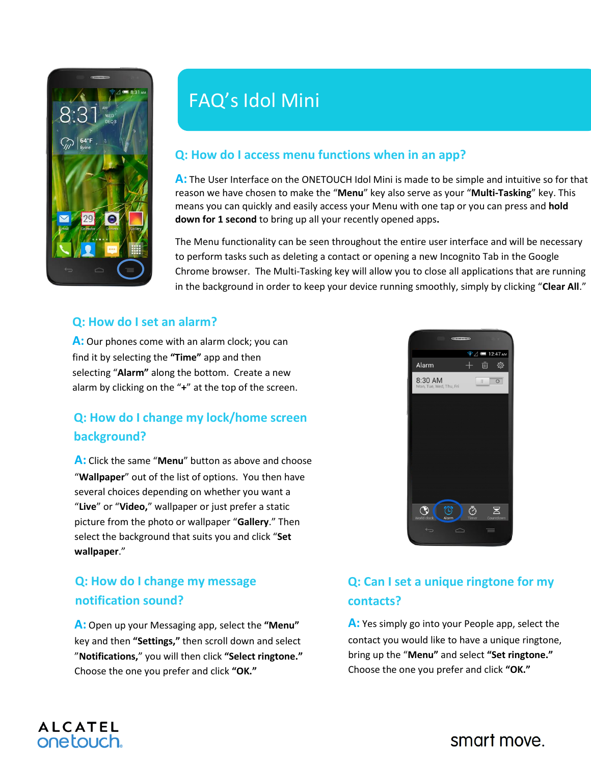

# FAQ's Idol Mini

### **Q: How do I access menu functions when in an app?**

**A:** The User Interface on the ONETOUCH Idol Mini is made to be simple and intuitive so for that reason we have chosen to make the "**Menu**" key also serve as your "**Multi-Tasking**" key. This means you can quickly and easily access your Menu with one tap or you can press and **hold down for 1 second** to bring up all your recently opened apps**.**

The Menu functionality can be seen throughout the entire user interface and will be necessary to perform tasks such as deleting a contact or opening a new Incognito Tab in the Google Chrome browser. The Multi-Tasking key will allow you to close all applications that are running in the background in order to keep your device running smoothly, simply by clicking "**Clear All**."

#### **Q: How do I set an alarm?**

**A:** Our phones come with an alarm clock; you can find it by selecting the **"Time"** app and then selecting "**Alarm"** along the bottom. Create a new alarm by clicking on the "**+**" at the top of the screen.

## **Q: How do I change my lock/home screen background?**

**A:** Click the same "**Menu**" button as above and choose "**Wallpaper**" out of the list of options. You then have several choices depending on whether you want a "**Live**" or "**Video,**" wallpaper or just prefer a static picture from the photo or wallpaper "**Gallery**." Then select the background that suits you and click "**Set wallpaper**."

# **Q: How do I change my message notification sound?**

**ALCATEL** onetouch.

**A:** Open up your Messaging app, select the **"Menu"**  key and then **"Settings,"** then scroll down and select "**Notifications,**" you will then click **"Select ringtone."**  Choose the one you prefer and click **"OK."**



# **Q: Can I set a unique ringtone for my contacts?**

**A:** Yes simply go into your People app, select the contact you would like to have a unique ringtone, bring up the "**Menu"** and select **"Set ringtone."** Choose the one you prefer and click **"OK."**

# smart move.